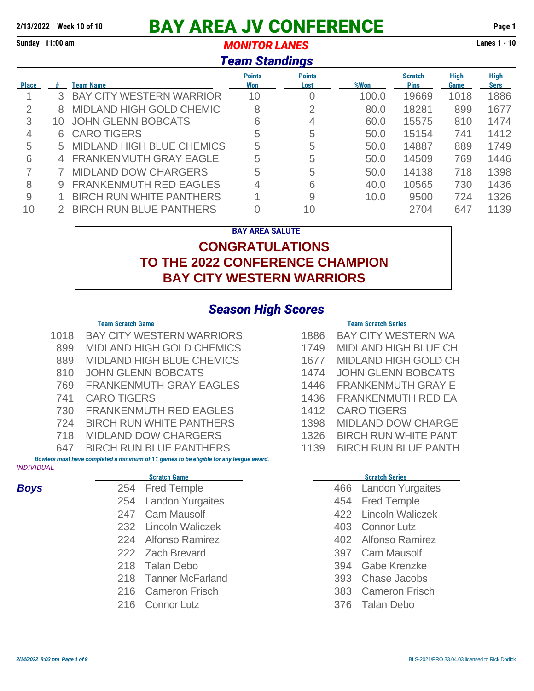# **2/13/2022 Week 10 of 10 BAY AREA JV CONFERENCE Page 1**

**Sunday 11:00 am** *MONITOR LANES* **Lanes 1 - 10**

#### *Team Standings*

| <b>Place</b> | #               | Team Name                        | <b>Points</b><br>Won | <b>Points</b><br>Lost | %Won  | <b>Scratch</b><br><b>Pins</b> | High<br>Game | <b>High</b><br><b>Sers</b> |
|--------------|-----------------|----------------------------------|----------------------|-----------------------|-------|-------------------------------|--------------|----------------------------|
|              | 3               | <b>BAY CITY WESTERN WARRIOR</b>  | 10                   | 0                     | 100.0 | 19669                         | 1018         | 1886                       |
| 2            | 8               | <b>MIDLAND HIGH GOLD CHEMIC</b>  | 8                    | 2                     | 80.0  | 18281                         | 899          | 1677                       |
| 3            | 10              | <b>JOHN GLENN BOBCATS</b>        | 6                    | 4                     | 60.0  | 15575                         | 810          | 1474                       |
|              | 6.              | <b>CARO TIGERS</b>               | 5                    | 5                     | 50.0  | 15154                         | 741          | 1412                       |
| 5            | 5               | <b>MIDLAND HIGH BLUE CHEMICS</b> | 5                    | 5                     | 50.0  | 14887                         | 889          | 1749                       |
| 6            | $\overline{4}$  | <b>FRANKENMUTH GRAY EAGLE</b>    | 5                    | 5                     | 50.0  | 14509                         | 769          | 1446                       |
|              |                 | <b>MIDLAND DOW CHARGERS</b>      | 5                    | 5                     | 50.0  | 14138                         | 718          | 1398                       |
| 8            | 9               | <b>FRANKENMUTH RED EAGLES</b>    | 4                    | 6                     | 40.0  | 10565                         | 730          | 1436                       |
| 9            |                 | <b>BIRCH RUN WHITE PANTHERS</b>  |                      | 9                     | 10.0  | 9500                          | 724          | 1326                       |
| 10           | $\mathcal{P}^-$ | <b>BIRCH RUN BLUE PANTHERS</b>   |                      | 10                    |       | 2704                          | 647          | 1139                       |

#### **BAY AREA SALUTE CONGRATULATIONS TO THE 2022 CONFERENCE CHAMPION BAY CITY WESTERN WARRIORS**

#### *Season High Scores*

|                          | <b>Team Scratch Game</b>                                                               |      | <b>Team Scratch Series</b>     |
|--------------------------|----------------------------------------------------------------------------------------|------|--------------------------------|
| 1018                     | <b>BAY CITY WESTERN WARRIORS</b>                                                       | 1886 | <b>BAY CITY WESTERN WA</b>     |
| 899                      | <b>MIDLAND HIGH GOLD CHEMICS</b>                                                       | 1749 | <b>MIDLAND HIGH BLUE CH</b>    |
| 889                      | <b>MIDLAND HIGH BLUE CHEMICS</b>                                                       | 1677 | <b>MIDLAND HIGH GOLD CH</b>    |
| 810                      | <b>JOHN GLENN BOBCATS</b>                                                              | 1474 | <b>JOHN GLENN BOBCATS</b>      |
| 769                      | <b>FRANKENMUTH GRAY EAGLES</b>                                                         | 1446 | <b>FRANKENMUTH GRAY E</b>      |
| 741                      | <b>CARO TIGERS</b>                                                                     | 1436 | <b>FRANKENMUTH RED EA</b>      |
| 730                      | <b>FRANKENMUTH RED EAGLES</b>                                                          | 1412 | <b>CARO TIGERS</b>             |
| 724                      | <b>BIRCH RUN WHITE PANTHERS</b>                                                        | 1398 | <b>MIDLAND DOW CHARGE</b>      |
| 718                      | <b>MIDLAND DOW CHARGERS</b>                                                            | 1326 | <b>BIRCH RUN WHITE PANT</b>    |
| 647                      | <b>BIRCH RUN BLUE PANTHERS</b>                                                         | 1139 | <b>BIRCH RUN BLUE PANTH</b>    |
| <i><b>INDIVIDUAL</b></i> | Bowlers must have completed a minimum of 11 games to be eligible for any league award. |      |                                |
|                          | <b>Scratch Game</b>                                                                    |      | <b>Scratch Series</b>          |
| <b>Boys</b>              | <b>Fred Temple</b><br>254                                                              |      | <b>Landon Yurgaites</b><br>466 |
|                          | <b>Landon Yurgaites</b><br>254                                                         |      | <b>Fred Temple</b><br>454      |
|                          | <b>Cam Mausolf</b><br>247                                                              |      | <b>Lincoln Waliczek</b><br>422 |
|                          | <b>Lincoln Waliczek</b><br>232                                                         |      | 403<br><b>Connor Lutz</b>      |

- 
- 
- 
- 
- Tanner McFarland 393 Chase Jacobs
- Cameron Frisch 383 Cameron Frisch
- Connor Lutz 376 Talan Debo
- 
- Alfonso Ramirez 402 Alfonso Ramirez
- Zach Brevard 397 Cam Mausolf
- Talan Debo 394 Gabe Krenzke
	-
	-
	-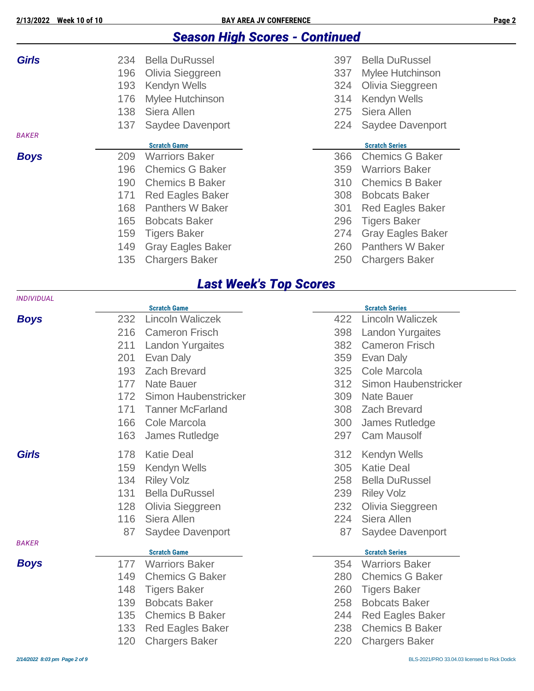### *Season High Scores - Continued*

| <b>Girls</b> | 234<br>196<br>193<br>176<br>138 | <b>Bella DuRussel</b><br>Olivia Sieggreen<br>Kendyn Wells<br><b>Mylee Hutchinson</b><br>Siera Allen | 397<br>337<br>324<br>314<br>275 | <b>Bella DuRussel</b><br>Mylee Hutchinson<br>Olivia Sieggreen<br><b>Kendyn Wells</b><br>Siera Allen |
|--------------|---------------------------------|-----------------------------------------------------------------------------------------------------|---------------------------------|-----------------------------------------------------------------------------------------------------|
|              | 137                             | Saydee Davenport                                                                                    | 224                             | Saydee Davenport                                                                                    |
| <b>BAKER</b> |                                 |                                                                                                     |                                 |                                                                                                     |
|              |                                 | <b>Scratch Game</b>                                                                                 |                                 | <b>Scratch Series</b>                                                                               |
| <b>Boys</b>  | 209                             | <b>Warriors Baker</b>                                                                               | 366                             | <b>Chemics G Baker</b>                                                                              |
|              | 196                             | <b>Chemics G Baker</b>                                                                              | 359                             | <b>Warriors Baker</b>                                                                               |
|              | 190                             | <b>Chemics B Baker</b>                                                                              | 310                             | <b>Chemics B Baker</b>                                                                              |
|              | 171                             | <b>Red Eagles Baker</b>                                                                             | 308                             | <b>Bobcats Baker</b>                                                                                |
|              | 168                             | <b>Panthers W Baker</b>                                                                             | 301                             | <b>Red Eagles Baker</b>                                                                             |
|              | 165                             | <b>Bobcats Baker</b>                                                                                | 296                             | <b>Tigers Baker</b>                                                                                 |
|              | 159                             | <b>Tigers Baker</b>                                                                                 | 274                             | <b>Gray Eagles Baker</b>                                                                            |
|              | 149                             | <b>Gray Eagles Baker</b>                                                                            | 260                             | <b>Panthers W Baker</b>                                                                             |
|              | 135                             | <b>Chargers Baker</b>                                                                               | 250                             | <b>Chargers Baker</b>                                                                               |

### *Last Week's Top Scores*

| <b>INDIVIDUAL</b> |     |                                              |     |                                                |
|-------------------|-----|----------------------------------------------|-----|------------------------------------------------|
|                   |     | <b>Scratch Game</b>                          |     | <b>Scratch Series</b>                          |
| <b>Boys</b>       | 232 | <b>Lincoln Waliczek</b>                      | 422 | <b>Lincoln Waliczek</b>                        |
|                   | 216 | <b>Cameron Frisch</b>                        | 398 | <b>Landon Yurgaites</b>                        |
|                   | 211 | <b>Landon Yurgaites</b>                      | 382 | <b>Cameron Frisch</b>                          |
|                   | 201 | Evan Daly                                    | 359 | Evan Daly                                      |
|                   | 193 | <b>Zach Brevard</b>                          | 325 | Cole Marcola                                   |
|                   | 177 | <b>Nate Bauer</b>                            | 312 | Simon Haubenstricker                           |
|                   | 172 | Simon Haubenstricker                         | 309 | <b>Nate Bauer</b>                              |
|                   | 171 | <b>Tanner McFarland</b>                      | 308 | <b>Zach Brevard</b>                            |
|                   | 166 | Cole Marcola                                 | 300 | James Rutledge                                 |
|                   | 163 | James Rutledge                               | 297 | <b>Cam Mausolf</b>                             |
| <b>Girls</b>      | 178 | <b>Katie Deal</b>                            | 312 | Kendyn Wells                                   |
|                   | 159 | Kendyn Wells                                 | 305 | <b>Katie Deal</b>                              |
|                   | 134 | <b>Riley Volz</b>                            | 258 | <b>Bella DuRussel</b>                          |
|                   | 131 | <b>Bella DuRussel</b>                        | 239 | <b>Riley Volz</b>                              |
|                   | 128 | Olivia Sieggreen                             | 232 | Olivia Sieggreen                               |
|                   | 116 | Siera Allen                                  | 224 | Siera Allen                                    |
|                   | 87  | Saydee Davenport                             | 87  | Saydee Davenport                               |
| <b>BAKER</b>      |     |                                              |     |                                                |
| <b>Boys</b>       | 177 | <b>Scratch Game</b><br><b>Warriors Baker</b> | 354 | <b>Scratch Series</b><br><b>Warriors Baker</b> |
|                   | 149 | <b>Chemics G Baker</b>                       | 280 | <b>Chemics G Baker</b>                         |
|                   | 148 |                                              | 260 |                                                |
|                   |     | <b>Tigers Baker</b>                          |     | <b>Tigers Baker</b>                            |
|                   | 139 | <b>Bobcats Baker</b>                         | 258 | <b>Bobcats Baker</b>                           |
|                   | 135 | <b>Chemics B Baker</b>                       | 244 | <b>Red Eagles Baker</b>                        |
|                   | 133 | <b>Red Eagles Baker</b>                      | 238 | <b>Chemics B Baker</b>                         |
|                   | 120 | <b>Chargers Baker</b>                        | 220 | <b>Chargers Baker</b>                          |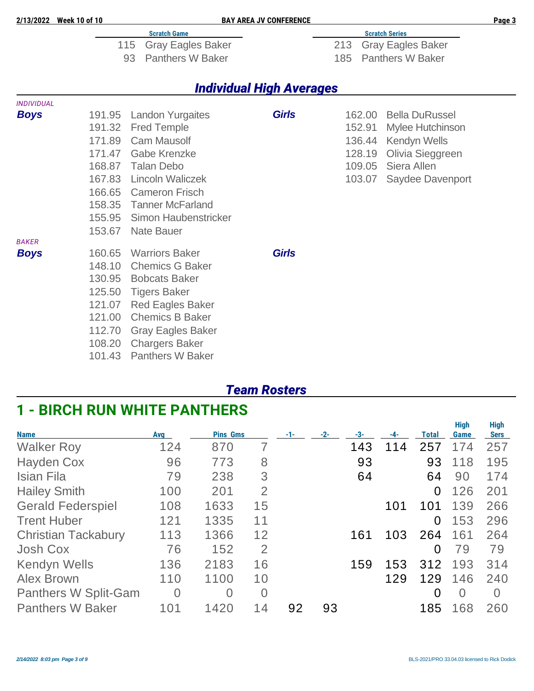| 2/13/2022 Week 10 of 10 |        |                                 | <b>BAY AREA JV CONFERENCE</b>   |     |        |                          | Page 3 |
|-------------------------|--------|---------------------------------|---------------------------------|-----|--------|--------------------------|--------|
|                         |        | <b>Scratch Game</b>             |                                 |     |        | <b>Scratch Series</b>    |        |
|                         |        | <b>Gray Eagles Baker</b><br>115 |                                 | 213 |        | <b>Gray Eagles Baker</b> |        |
|                         |        | <b>Panthers W Baker</b><br>93   |                                 | 185 |        | <b>Panthers W Baker</b>  |        |
|                         |        |                                 | <b>Individual High Averages</b> |     |        |                          |        |
| <b>INDIVIDUAL</b>       |        |                                 |                                 |     |        |                          |        |
| <b>Boys</b>             | 191.95 | <b>Landon Yurgaites</b>         | <b>Girls</b>                    |     | 162.00 | <b>Bella DuRussel</b>    |        |
|                         | 191.32 | <b>Fred Temple</b>              |                                 |     | 152.91 | Mylee Hutchinson         |        |
|                         | 171.89 | <b>Cam Mausolf</b>              |                                 |     | 136.44 | Kendyn Wells             |        |
|                         | 171.47 | <b>Gabe Krenzke</b>             |                                 |     | 128.19 | Olivia Sieggreen         |        |
|                         | 168.87 | Talan Debo                      |                                 |     | 109.05 | Siera Allen              |        |
|                         | 167.83 | <b>Lincoln Waliczek</b>         |                                 |     | 103.07 | Saydee Davenport         |        |
|                         | 166.65 | <b>Cameron Frisch</b>           |                                 |     |        |                          |        |
|                         |        | 158.35 Tanner McFarland         |                                 |     |        |                          |        |
|                         | 155.95 | Simon Haubenstricker            |                                 |     |        |                          |        |
|                         | 153.67 | <b>Nate Bauer</b>               |                                 |     |        |                          |        |
| <b>BAKER</b>            |        |                                 |                                 |     |        |                          |        |
| <b>Boys</b>             | 160.65 | <b>Warriors Baker</b>           | <b>Girls</b>                    |     |        |                          |        |
|                         | 148.10 | <b>Chemics G Baker</b>          |                                 |     |        |                          |        |
|                         | 130.95 | <b>Bobcats Baker</b>            |                                 |     |        |                          |        |
|                         | 125.50 | <b>Tigers Baker</b>             |                                 |     |        |                          |        |
|                         | 121.07 | <b>Red Eagles Baker</b>         |                                 |     |        |                          |        |
|                         | 121.00 | <b>Chemics B Baker</b>          |                                 |     |        |                          |        |
|                         | 112.70 | <b>Gray Eagles Baker</b>        |                                 |     |        |                          |        |
|                         | 108.20 | <b>Chargers Baker</b>           |                                 |     |        |                          |        |
|                         | 101.43 | <b>Panthers W Baker</b>         |                                 |     |        |                          |        |

#### *Team Rosters*

### **1 - BIRCH RUN WHITE PANTHERS**

| <b>Name</b>                 | <b>Avg</b>     | <b>Pins Gms</b> |                |    | $-2-$ | -3- | -4- | <b>Total</b> | <b>High</b><br>Game | <b>High</b><br><b>Sers</b> |
|-----------------------------|----------------|-----------------|----------------|----|-------|-----|-----|--------------|---------------------|----------------------------|
| <b>Walker Roy</b>           | 124            | 870             | $\overline{7}$ |    |       | 143 | 4   | 257          | 174                 | 257                        |
| <b>Hayden Cox</b>           | 96             | 773             | 8              |    |       | 93  |     | 93           | 118                 | 195                        |
| Isian Fila                  | 79             | 238             | 3              |    |       | 64  |     | 64           | 90                  | 174                        |
| <b>Hailey Smith</b>         | 100            | 201             | 2              |    |       |     |     | 0            | 126                 | 201                        |
| <b>Gerald Federspiel</b>    | 108            | 1633            | 15             |    |       |     | 101 | 101          | 139                 | 266                        |
| <b>Trent Huber</b>          | 121            | 1335            | 11             |    |       |     |     | 0            | 153                 | 296                        |
| <b>Christian Tackabury</b>  | 113            | 1366            | 12             |    |       | 161 | 103 | 264          | 161                 | 264                        |
| Josh Cox                    | 76             | 152             | $\overline{2}$ |    |       |     |     | 0            | 79                  | 79                         |
| Kendyn Wells                | 136            | 2183            | 16             |    |       | 159 | 153 | 312          | 193                 | 314                        |
| <b>Alex Brown</b>           | 110            | 1100            | 10             |    |       |     | 129 | 129          | 146                 | 240                        |
| <b>Panthers W Split-Gam</b> | $\overline{0}$ | 0               | $\Omega$       |    |       |     |     | 0            | $\Omega$            | $\Omega$                   |
| <b>Panthers W Baker</b>     | 101            | 1420            | 14             | 92 | 93    |     |     | 185          | 168                 | 260                        |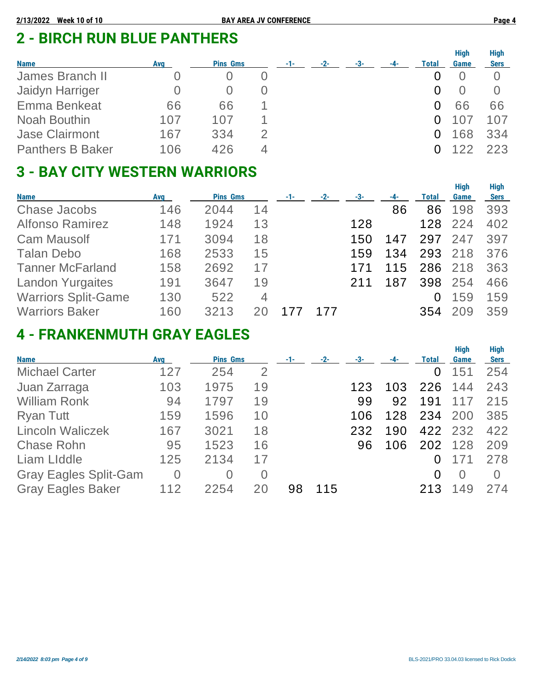# **2 - BIRCH RUN BLUE PANTHERS**

| <b>Name</b>             | Avg | <b>Pins Gms</b> | $-1-$ | $-2-$ | -3- | $-4-$ | <b>Total</b> | <b>High</b><br>Game | <b>High</b><br>Sers |
|-------------------------|-----|-----------------|-------|-------|-----|-------|--------------|---------------------|---------------------|
| James Branch II         |     |                 |       |       |     |       |              |                     |                     |
| Jaidyn Harriger         |     |                 |       |       |     |       |              |                     | $\cup$              |
| <b>Emma Benkeat</b>     | 66  | 66              |       |       |     |       |              | 66                  | 66                  |
| Noah Bouthin            | 107 | 107             |       |       |     |       |              |                     | 107                 |
| <b>Jase Clairmont</b>   | 167 | 334             |       |       |     |       |              | 168                 | 334                 |
| <b>Panthers B Baker</b> | 106 | 426             |       |       |     |       |              |                     | 223                 |

# **3 - BAY CITY WESTERN WARRIORS**

| <b>Name</b>                | Avg | <b>Pins Gms</b> |                | $-1-$ | $-2-$ | -3- | -4- | Total | <b>High</b><br>Game | <b>High</b><br><b>Sers</b> |
|----------------------------|-----|-----------------|----------------|-------|-------|-----|-----|-------|---------------------|----------------------------|
| <b>Chase Jacobs</b>        | 146 | 2044            | 14             |       |       |     | 86  | 86    | 198                 | 393                        |
| <b>Alfonso Ramirez</b>     | 148 | 1924            | 13             |       |       | 128 |     | 128   | 224                 | 402                        |
| <b>Cam Mausolf</b>         | 171 | 3094            | 18             |       |       | 150 | 147 | 297   | 247                 | 397                        |
| <b>Talan Debo</b>          | 168 | 2533            | 15             |       |       | 159 | 134 | 293   | 218                 | 376                        |
| <b>Tanner McFarland</b>    | 158 | 2692            | 17             |       |       |     | 115 | 286   | 218                 | 363                        |
| <b>Landon Yurgaites</b>    | 191 | 3647            | 19             |       |       | 211 | 187 | 398   | 254                 | 466                        |
| <b>Warriors Split-Game</b> | 130 | 522             | $\overline{4}$ |       |       |     |     | 0     | 159                 | 159                        |
| <b>Warriors Baker</b>      | 160 | 3213            |                |       | 177   |     |     | 354   | 209                 | 359                        |

# **4 - FRANKENMUTH GRAY EAGLES**

| <b>Name</b>                  | <b>Avg</b>     | <b>Pins Gms</b> |                | -1- | $-2-$ | -3- |     | Total | <b>High</b><br>Game | <b>High</b><br><b>Sers</b> |
|------------------------------|----------------|-----------------|----------------|-----|-------|-----|-----|-------|---------------------|----------------------------|
| <b>Michael Carter</b>        | 127            | 254             | $\overline{2}$ |     |       |     |     | 0     | 151                 | 254                        |
| Juan Zarraga                 | 103            | 1975            | 19             |     |       | 123 | 103 | 226   | 144                 | 243                        |
| <b>William Ronk</b>          | 94             | 1797            | 19             |     |       | 99  | 92  | 191   | 117                 | 215                        |
| <b>Ryan Tutt</b>             | 159            | 1596            | 10             |     |       | 106 | 128 | 234   | 200                 | 385                        |
| <b>Lincoln Waliczek</b>      | 167            | 3021            | 18             |     |       | 232 | 190 |       | 422 232             | 422                        |
| <b>Chase Rohn</b>            | 95             | 1523            | 16             |     |       | 96  | 106 |       | 202 128             | 209                        |
| <b>Liam LIddle</b>           | 125            | 2134            | 17             |     |       |     |     |       |                     | 278                        |
| <b>Gray Eagles Split-Gam</b> | $\overline{0}$ | $\overline{0}$  | $\overline{0}$ |     |       |     |     | 0     | $\Omega$            | $\bigcap$                  |
| <b>Gray Eagles Baker</b>     | 112            | 2254            |                | 98  | 115   |     |     | 213   | 149                 | 274                        |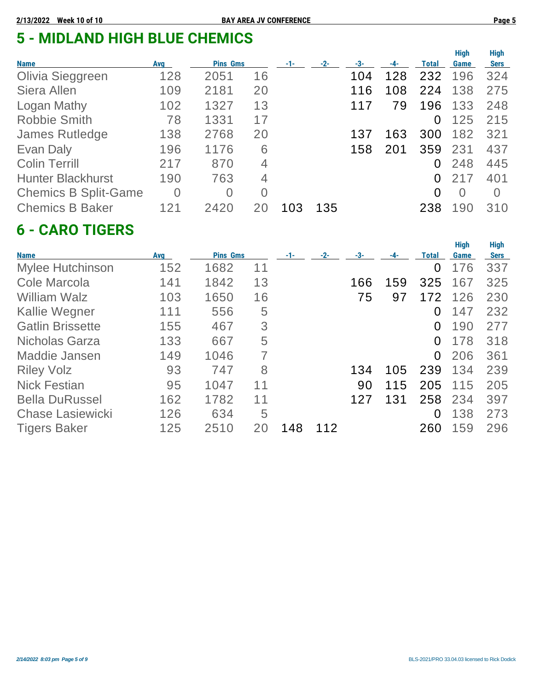# **5 - MIDLAND HIGH BLUE CHEMICS**

| <b>Name</b>                 | Avg            | <b>Pins Gms</b> |                | $-1-$ | $-2-$ | -3- |     | Total    | <b>High</b><br>Game | <b>High</b><br><b>Sers</b> |
|-----------------------------|----------------|-----------------|----------------|-------|-------|-----|-----|----------|---------------------|----------------------------|
| Olivia Sieggreen            | 128            | 2051            | 16             |       |       | 104 | 128 | 232      | 196                 | 324                        |
| Siera Allen                 | 109            | 2181            | 20             |       |       | 116 | 108 | 224      | 138                 | 275                        |
| <b>Logan Mathy</b>          | 102            | 1327            | 13             |       |       | 117 | 79  | 196      | 133                 | 248                        |
| <b>Robbie Smith</b>         | 78             | 1331            | 17             |       |       |     |     | 0        | 125                 | 215                        |
| <b>James Rutledge</b>       | 138            | 2768            | 20             |       |       | 137 | 163 | 300      | 182                 | 321                        |
| Evan Daly                   | 196            | 1176            | 6              |       |       | 158 | 201 | 359      | 231                 | 437                        |
| <b>Colin Terrill</b>        | 217            | 870             | 4              |       |       |     |     | 0        | 248                 | 445                        |
| <b>Hunter Blackhurst</b>    | 190            | 763             | 4              |       |       |     |     | 0        | 217                 | 401                        |
| <b>Chemics B Split-Game</b> | $\overline{0}$ | 0               | $\overline{0}$ |       |       |     |     | $\Omega$ | $\Omega$            | $\Omega$                   |
| <b>Chemics B Baker</b>      | 121            | 2420            |                | 103   | 135   |     |     | 238      | 190                 | 310                        |

### **6 - CARO TIGERS**

|                         |     |                 |    |       |       |     |       |       | <b>High</b> | <b>High</b> |
|-------------------------|-----|-----------------|----|-------|-------|-----|-------|-------|-------------|-------------|
| <b>Name</b>             | Avg | <b>Pins Gms</b> |    | $-1-$ | $-2-$ | -3- | $-4-$ | Total | Game        | <b>Sers</b> |
| <b>Mylee Hutchinson</b> | 152 | 1682            | 11 |       |       |     |       | 0     | 176         | 337         |
| Cole Marcola            | 141 | 1842            | 13 |       |       | 166 | 159   | 325   | 167         | 325         |
| <b>William Walz</b>     | 103 | 1650            | 16 |       |       | 75  | 97    | 172   | 126         | 230         |
| <b>Kallie Wegner</b>    | 111 | 556             | 5  |       |       |     |       | 0     | 147         | 232         |
| <b>Gatlin Brissette</b> | 155 | 467             | 3  |       |       |     |       | 0     | 190         | 277         |
| Nicholas Garza          | 133 | 667             | 5  |       |       |     |       | 0     | 178         | 318         |
| Maddie Jansen           | 149 | 1046            | 7  |       |       |     |       | 0     | 206         | 361         |
| <b>Riley Volz</b>       | 93  | 747             | 8  |       |       | 134 | 105   | 239   | 134         | 239         |
| <b>Nick Festian</b>     | 95  | 1047            | 11 |       |       | 90  | 115   | 205   | 115         | 205         |
| <b>Bella DuRussel</b>   | 162 | 1782            | 11 |       |       | 127 | 131   | 258   | 234         | 397         |
| <b>Chase Lasiewicki</b> | 126 | 634             | 5  |       |       |     |       | 0     | 138         | 273         |
| <b>Tigers Baker</b>     | 125 | 2510            | 20 | 148   | 112   |     |       | 260   | 159         | 296         |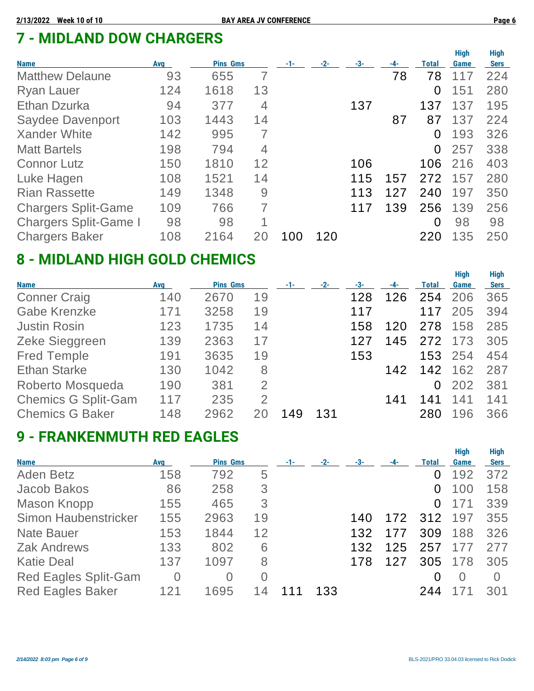# **7 - MIDLAND DOW CHARGERS**

| <b>Name</b>                  | <b>Avg</b> | <b>Pins Gms</b> |    | $-1-$ | $-2-$ | -3- | -4- | Total    | <b>High</b><br>Game | <b>High</b><br><b>Sers</b> |
|------------------------------|------------|-----------------|----|-------|-------|-----|-----|----------|---------------------|----------------------------|
| <b>Matthew Delaune</b>       | 93         | 655             | 7  |       |       |     | 78  | 78       | 117                 | 224                        |
| <b>Ryan Lauer</b>            | 124        | 1618            | 13 |       |       |     |     | 0        | 151                 | 280                        |
| <b>Ethan Dzurka</b>          | 94         | 377             | 4  |       |       | 137 |     | 137      | 137                 | 195                        |
| Saydee Davenport             | 103        | 1443            | 14 |       |       |     | 87  | 87       | 137                 | 224                        |
| <b>Xander White</b>          | 142        | 995             | 7  |       |       |     |     | 0        | 193                 | 326                        |
| <b>Matt Bartels</b>          | 198        | 794             | 4  |       |       |     |     | $\Omega$ | 257                 | 338                        |
| <b>Connor Lutz</b>           | 150        | 1810            | 12 |       |       | 106 |     | 106      | 216                 | 403                        |
| Luke Hagen                   | 108        | 1521            | 14 |       |       | 115 | 157 | 272      | 157                 | 280                        |
| <b>Rian Rassette</b>         | 149        | 1348            | 9  |       |       | 113 | 127 | 240      | 197                 | 350                        |
| <b>Chargers Split-Game</b>   | 109        | 766             | 7  |       |       | 117 | 139 | 256      | 139                 | 256                        |
| <b>Chargers Split-Game I</b> | 98         | 98              | 1  |       |       |     |     | $\Omega$ | 98                  | 98                         |
| <b>Chargers Baker</b>        | 108        | 2164            | 20 | 100   | 120   |     |     | 220      | 135                 | 250                        |

## **8 - MIDLAND HIGH GOLD CHEMICS**

| <b>Name</b>                | <b>Avg</b> | <b>Pins Gms</b> |                | $-1-$ | $-2-$ | -3- | -4- | <b>Total</b> | <b>High</b><br>Game | <b>High</b><br><b>Sers</b> |
|----------------------------|------------|-----------------|----------------|-------|-------|-----|-----|--------------|---------------------|----------------------------|
| <b>Conner Craig</b>        | 140        | 2670            | 19             |       |       | 128 | 126 | 254          | 206                 | 365                        |
| <b>Gabe Krenzke</b>        | 171        | 3258            | 19             |       |       | 117 |     | 117          | 205                 | 394                        |
| <b>Justin Rosin</b>        | 123        | 1735            | 14             |       |       | 158 | 120 | 278          | 158                 | 285                        |
| Zeke Sieggreen             | 139        | 2363            | 17             |       |       | 127 | 145 | 272          | 173                 | 305                        |
| <b>Fred Temple</b>         | 191        | 3635            | 19             |       |       | 153 |     | 153          | 254                 | 454                        |
| <b>Ethan Starke</b>        | 130        | 1042            | 8              |       |       |     | 142 | 142          | 162                 | 287                        |
| Roberto Mosqueda           | 190        | 381             | $\overline{2}$ |       |       |     |     | 0            | 202                 | 381                        |
| <b>Chemics G Split-Gam</b> | 117        | 235             | $\overline{2}$ |       |       |     | 141 | 141          | 141                 | 141                        |
| <b>Chemics G Baker</b>     | 148        | 2962            |                | 149   | 131   |     |     | 280          | 196                 | 366                        |

### **9 - FRANKENMUTH RED EAGLES**

|                             |            |                 |                |     |       |     |     |              | <b>High</b>      | <b>High</b> |
|-----------------------------|------------|-----------------|----------------|-----|-------|-----|-----|--------------|------------------|-------------|
| <b>Name</b>                 | <b>Avg</b> | <b>Pins Gms</b> |                | -1- | $-2-$ | -3- | -4- | <b>Total</b> | Game             | <b>Sers</b> |
| Aden Betz                   | 158        | 792             | 5              |     |       |     |     | $\Omega$     | 192              | 372         |
| Jacob Bakos                 | 86         | 258             | 3              |     |       |     |     | 0            | 100              | 158         |
| Mason Knopp                 | 155        | 465             | 3              |     |       |     |     | 0            | 171              | 339         |
| Simon Haubenstricker        | 155        | 2963            | 19             |     |       | 140 | 172 | 312          | 197              | 355         |
| <b>Nate Bauer</b>           | 153        | 1844            | 12             |     |       | 132 | 177 | 309          | 188              | 326         |
| <b>Zak Andrews</b>          | 133        | 802             | 6              |     |       | 132 | 125 | 257          | 177              | 277         |
| <b>Katie Deal</b>           | 137        | 1097            | 8              |     |       | 178 | 127 | 305          | 178              | 305         |
| <b>Red Eagles Split-Gam</b> | 0          | 0               | $\overline{0}$ |     |       |     |     | 0            | $\left( \right)$ | $\Omega$    |
| <b>Red Eagles Baker</b>     | 121        | 1695            |                |     | 133   |     |     | 244          |                  | 301         |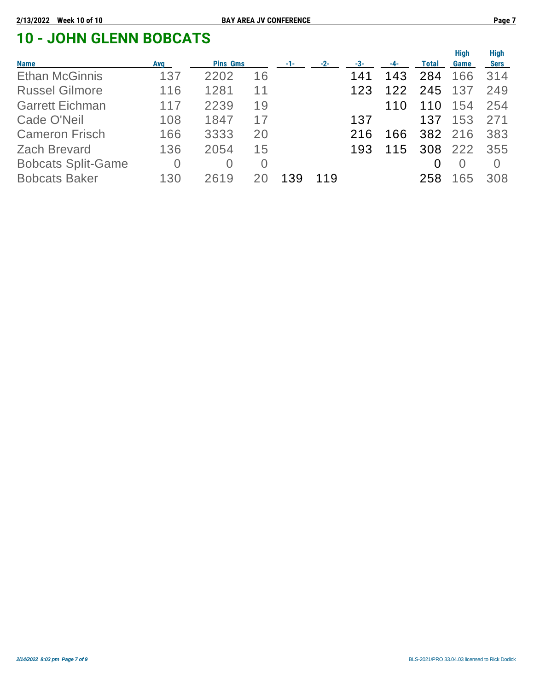# **10 - JOHN GLENN BOBCATS**

| <b>Name</b>               | Avg            | <b>Pins Gms</b> |          | $-1-$ | $-2-$ | -3- | $-4-$ | Total | <b>High</b><br>Game | <b>High</b><br><b>Sers</b> |
|---------------------------|----------------|-----------------|----------|-------|-------|-----|-------|-------|---------------------|----------------------------|
| <b>Ethan McGinnis</b>     | 137            | 2202            | 16       |       |       | 141 | 143   | 284   | 166                 | 314                        |
| <b>Russel Gilmore</b>     | 116            | 1281            | 11       |       |       | 123 | 122   | 245   | 137                 | 249                        |
| <b>Garrett Eichman</b>    | 117            | 2239            | 19       |       |       |     | 110   | 110   | 154                 | 254                        |
| Cade O'Neil               | 108            | 1847            | 17       |       |       | 137 |       | 137   | 153                 | 271                        |
| <b>Cameron Frisch</b>     | 166            | 3333            | 20       |       |       | 216 | 166   |       | 382 216             | 383                        |
| <b>Zach Brevard</b>       | 136            | 2054            | 15       |       |       | 193 | 115   | 308   | 222                 | 355                        |
| <b>Bobcats Split-Game</b> | $\overline{0}$ | O               | $\Omega$ |       |       |     |       |       | $\left( \right)$    | $\left( \right)$           |
| <b>Bobcats Baker</b>      | 130            | 2619            |          | 139   | 119   |     |       | 258   | 65                  | 308                        |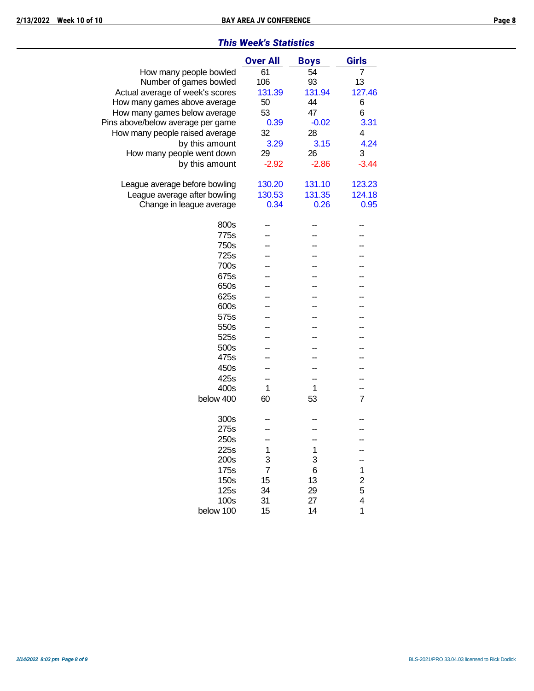|  |  | <b>This Week's Statistics</b> |
|--|--|-------------------------------|
|--|--|-------------------------------|

|                                   | <b>Over All</b> | <b>Boys</b> | <b>Girls</b>                 |
|-----------------------------------|-----------------|-------------|------------------------------|
| How many people bowled            | 61              | 54          | 7                            |
| Number of games bowled            | 106             | 93          | 13                           |
| Actual average of week's scores   | 131.39          | 131.94      | 127.46                       |
| How many games above average      | 50              | 44          | 6                            |
| How many games below average      | 53              | 47          | 6                            |
| Pins above/below average per game | 0.39            | $-0.02$     | 3.31                         |
| How many people raised average    | 32              | 28          | 4                            |
| by this amount                    | 3.29            | 3.15        | 4.24                         |
| How many people went down         | 29              | 26          | 3                            |
| by this amount                    | $-2.92$         | $-2.86$     | $-3.44$                      |
|                                   |                 |             |                              |
| League average before bowling     | 130.20          | 131.10      | 123.23                       |
| League average after bowling      | 130.53          | 131.35      | 124.18                       |
| Change in league average          | 0.34            | 0.26        | 0.95                         |
| 800s                              |                 |             |                              |
| 775s                              |                 |             |                              |
|                                   |                 |             |                              |
| 750s                              |                 |             |                              |
| 725s                              |                 |             |                              |
| 700s                              |                 |             |                              |
| 675s                              |                 |             |                              |
| 650s                              |                 |             |                              |
| 625s                              |                 |             |                              |
| 600s                              |                 |             |                              |
| 575s                              |                 |             |                              |
| 550s                              |                 |             |                              |
| 525s                              |                 |             |                              |
| 500s                              |                 |             |                              |
| 475s                              |                 |             |                              |
| 450s                              |                 |             |                              |
| 425s                              |                 |             |                              |
| 400s                              | 1               | 1           |                              |
| below 400                         | 60              | 53          | $\overline{7}$               |
| 300s                              |                 |             |                              |
| 275s                              |                 |             |                              |
| 250s                              |                 |             |                              |
| 225s                              | 1               | 1           |                              |
| 200s                              | 3               | 3           |                              |
| 175s                              | $\overline{7}$  | 6           | 1                            |
| 150s                              | 15              | 13          |                              |
| 125s                              | 34              | 29          | $\overline{\mathbf{c}}$<br>5 |
| 100s                              | 31              | 27          | 4                            |
| below 100                         | 15              | 14          | 1                            |
|                                   |                 |             |                              |